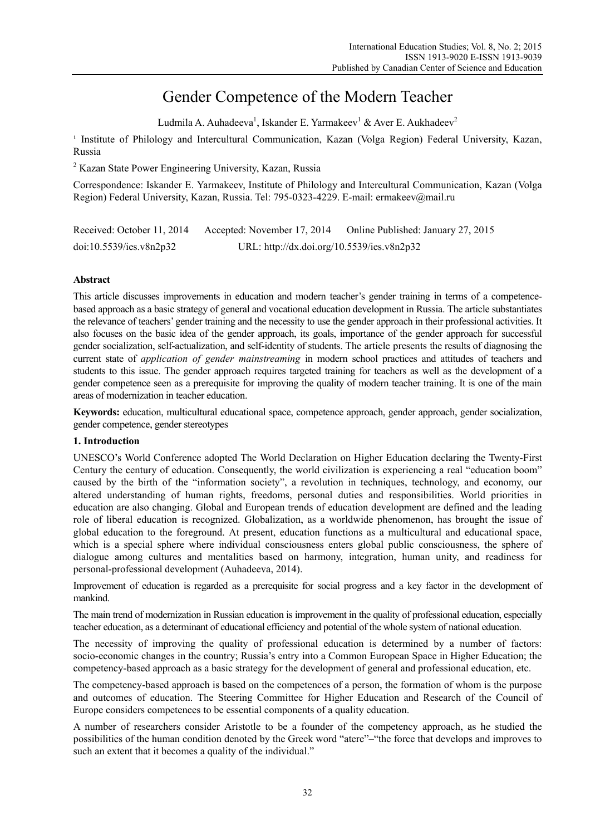# Gender Competence of the Modern Teacher

Ludmila A. Auhadeeva<sup>1</sup>, Iskander E. Yarmakeev<sup>1</sup> & Aver E. Aukhadeev<sup>2</sup>

<sup>1</sup> Institute of Philology and Intercultural Communication, Kazan (Volga Region) Federal University, Kazan, Russia

<sup>2</sup> Kazan State Power Engineering University, Kazan, Russia

Correspondence: Iskander E. Yarmakeev, Institute of Philology and Intercultural Communication, Kazan (Volga Region) Federal University, Kazan, Russia. Tel: 795-0323-4229. E-mail: ermakeev@mail.ru

| Received: October 11, 2014 | Accepted: November 17, 2014                | Online Published: January 27, 2015 |
|----------------------------|--------------------------------------------|------------------------------------|
| doi:10.5539/ies.v8n2p32    | URL: http://dx.doi.org/10.5539/ies.v8n2p32 |                                    |

# **Abstract**

This article discusses improvements in education and modern teacher's gender training in terms of a competencebased approach as a basic strategy of general and vocational education development in Russia. The article substantiates the relevance of teachers' gender training and the necessity to use the gender approach in their professional activities. It also focuses on the basic idea of the gender approach, its goals, importance of the gender approach for successful gender socialization, self-actualization, and self-identity of students. The article presents the results of diagnosing the current state of *application of gender mainstreaming* in modern school practices and attitudes of teachers and students to this issue. The gender approach requires targeted training for teachers as well as the development of a gender competence seen as a prerequisite for improving the quality of modern teacher training. It is one of the main areas of modernization in teacher education.

**Keywords:** education, multicultural educational space, competence approach, gender approach, gender socialization, gender competence, gender stereotypes

# **1. Introduction**

UNESCO's World Conference adopted The World Declaration on Higher Education declaring the Twenty-First Century the century of education. Consequently, the world civilization is experiencing a real "education boom" caused by the birth of the "information society", a revolution in techniques, technology, and economy, our altered understanding of human rights, freedoms, personal duties and responsibilities. World priorities in education are also changing. Global and European trends of education development are defined and the leading role of liberal education is recognized. Globalization, as a worldwide phenomenon, has brought the issue of global education to the foreground. At present, education functions as a multicultural and educational space, which is a special sphere where individual consciousness enters global public consciousness, the sphere of dialogue among cultures and mentalities based on harmony, integration, human unity, and readiness for personal-professional development (Auhadeeva, 2014).

Improvement of education is regarded as a prerequisite for social progress and a key factor in the development of mankind.

The main trend of modernization in Russian education is improvement in the quality of professional education, especially teacher education, as a determinant of educational efficiency and potential of the whole system of national education.

The necessity of improving the quality of professional education is determined by a number of factors: socio-economic changes in the country; Russia's entry into a Common European Space in Higher Education; the competency-based approach as a basic strategy for the development of general and professional education, etc.

The competency-based approach is based on the competences of a person, the formation of whom is the purpose and outcomes of education. The Steering Committee for Higher Education and Research of the Council of Europe considers competences to be essential components of a quality education.

A number of researchers consider Aristotle to be a founder of the competency approach, as he studied the possibilities of the human condition denoted by the Greek word "atere"–"the force that develops and improves to such an extent that it becomes a quality of the individual."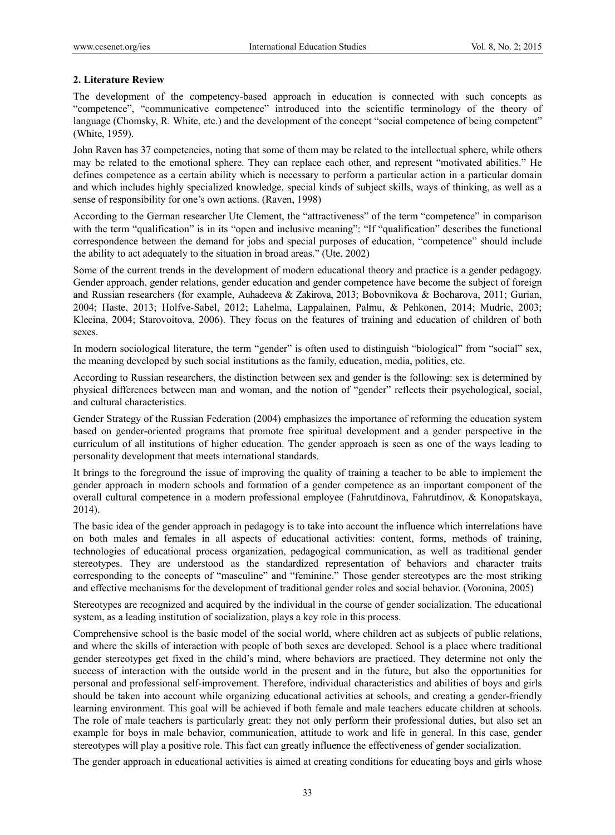## **2. Literature Review**

The development of the competency-based approach in education is connected with such concepts as "competence", "communicative competence" introduced into the scientific terminology of the theory of language (Chomsky, R. White, etc.) and the development of the concept "social competence of being competent" (White, 1959).

John Raven has 37 competencies, noting that some of them may be related to the intellectual sphere, while others may be related to the emotional sphere. They can replace each other, and represent "motivated abilities." He defines competence as a certain ability which is necessary to perform a particular action in a particular domain and which includes highly specialized knowledge, special kinds of subject skills, ways of thinking, as well as a sense of responsibility for one's own actions. (Raven, 1998)

According to the German researcher Ute Clement, the "attractiveness" of the term "competence" in comparison with the term "qualification" is in its "open and inclusive meaning": "If "qualification" describes the functional correspondence between the demand for jobs and special purposes of education, "competence" should include the ability to act adequately to the situation in broad areas." (Ute, 2002)

Some of the current trends in the development of modern educational theory and practice is a gender pedagogy. Gender approach, gender relations, gender education and gender competence have become the subject of foreign and Russian researchers (for example, Auhadeeva & Zakirova, 2013; Bobovnikova & Bocharova, 2011; Gurian, 2004; Haste, 2013; Holfve-Sabel, 2012; Lahelma, Lappalainen, Palmu, & Pehkonen, 2014; Mudric, 2003; Klecina, 2004; Starovoitova, 2006). They focus on the features of training and education of children of both sexes.

In modern sociological literature, the term "gender" is often used to distinguish "biological" from "social" sex, the meaning developed by such social institutions as the family, education, media, politics, etc.

According to Russian researchers, the distinction between sex and gender is the following: sex is determined by physical differences between man and woman, and the notion of "gender" reflects their psychological, social, and cultural characteristics.

Gender Strategy of the Russian Federation (2004) emphasizes the importance of reforming the education system based on gender-oriented programs that promote free spiritual development and a gender perspective in the curriculum of all institutions of higher education. The gender approach is seen as one of the ways leading to personality development that meets international standards.

It brings to the foreground the issue of improving the quality of training a teacher to be able to implement the gender approach in modern schools and formation of a gender competence as an important component of the overall cultural competence in a modern professional employee (Fahrutdinova, Fahrutdinov, & Konopatskaya, 2014).

The basic idea of the gender approach in pedagogy is to take into account the influence which interrelations have on both males and females in all aspects of educational activities: content, forms, methods of training, technologies of educational process organization, pedagogical communication, as well as traditional gender stereotypes. They are understood as the standardized representation of behaviors and character traits corresponding to the concepts of "masculine" and "feminine." Those gender stereotypes are the most striking and effective mechanisms for the development of traditional gender roles and social behavior. (Voronina, 2005)

Stereotypes are recognized and acquired by the individual in the course of gender socialization. The educational system, as a leading institution of socialization, plays a key role in this process.

Comprehensive school is the basic model of the social world, where children act as subjects of public relations, and where the skills of interaction with people of both sexes are developed. School is a place where traditional gender stereotypes get fixed in the child's mind, where behaviors are practiced. They determine not only the success of interaction with the outside world in the present and in the future, but also the opportunities for personal and professional self-improvement. Therefore, individual characteristics and abilities of boys and girls should be taken into account while organizing educational activities at schools, and creating a gender-friendly learning environment. This goal will be achieved if both female and male teachers educate children at schools. The role of male teachers is particularly great: they not only perform their professional duties, but also set an example for boys in male behavior, communication, attitude to work and life in general. In this case, gender stereotypes will play a positive role. This fact can greatly influence the effectiveness of gender socialization.

The gender approach in educational activities is aimed at creating conditions for educating boys and girls whose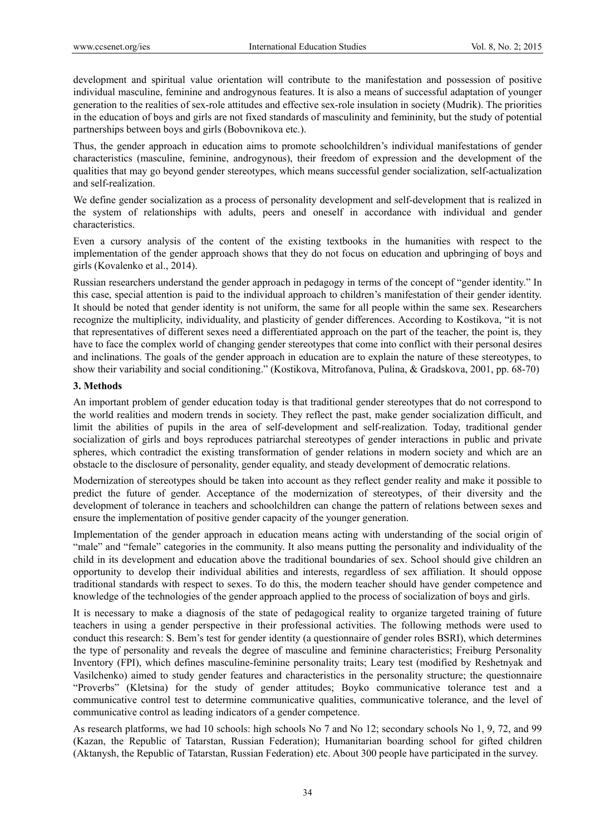development and spiritual value orientation will contribute to the manifestation and possession of positive individual masculine, feminine and androgynous features. It is also a means of successful adaptation of younger generation to the realities of sex-role attitudes and effective sex-role insulation in society (Mudrik). The priorities in the education of boys and girls are not fixed standards of masculinity and femininity, but the study of potential partnerships between boys and girls (Bobovnikova etc.).

Thus, the gender approach in education aims to promote schoolchildren's individual manifestations of gender characteristics (masculine, feminine, androgynous), their freedom of expression and the development of the qualities that may go beyond gender stereotypes, which means successful gender socialization, self-actualization and self-realization.

We define gender socialization as a process of personality development and self-development that is realized in the system of relationships with adults, peers and oneself in accordance with individual and gender characteristics.

Even a cursory analysis of the content of the existing textbooks in the humanities with respect to the implementation of the gender approach shows that they do not focus on education and upbringing of boys and girls (Kovalenko et al., 2014).

Russian researchers understand the gender approach in pedagogy in terms of the concept of "gender identity." In this case, special attention is paid to the individual approach to children's manifestation of their gender identity. It should be noted that gender identity is not uniform, the same for all people within the same sex. Researchers recognize the multiplicity, individuality, and plasticity of gender differences. According to Kostikova, "it is not that representatives of different sexes need a differentiated approach on the part of the teacher, the point is, they have to face the complex world of changing gender stereotypes that come into conflict with their personal desires and inclinations. The goals of the gender approach in education are to explain the nature of these stereotypes, to show their variability and social conditioning." (Kostikova, Mitrofanova, Pulína, & Gradskova, 2001, рp. 68-70)

## **3. Methods**

An important problem of gender education today is that traditional gender stereotypes that do not correspond to the world realities and modern trends in society. They reflect the past, make gender socialization difficult, and limit the abilities of pupils in the area of self-development and self-realization. Today, traditional gender socialization of girls and boys reproduces patriarchal stereotypes of gender interactions in public and private spheres, which contradict the existing transformation of gender relations in modern society and which are an obstacle to the disclosure of personality, gender equality, and steady development of democratic relations.

Modernization of stereotypes should be taken into account as they reflect gender reality and make it possible to predict the future of gender. Acceptance of the modernization of stereotypes, of their diversity and the development of tolerance in teachers and schoolchildren can change the pattern of relations between sexes and ensure the implementation of positive gender capacity of the younger generation.

Implementation of the gender approach in education means acting with understanding of the social origin of "male" and "female" categories in the community. It also means putting the personality and individuality of the child in its development and education above the traditional boundaries of sex. School should give children an opportunity to develop their individual abilities and interests, regardless of sex affiliation. It should oppose traditional standards with respect to sexes. To do this, the modern teacher should have gender competence and knowledge of the technologies of the gender approach applied to the process of socialization of boys and girls.

It is necessary to make a diagnosis of the state of pedagogical reality to organize targeted training of future teachers in using a gender perspective in their professional activities. The following methods were used to conduct this research: S. Bem's test for gender identity (a questionnaire of gender roles BSRI), which determines the type of personality and reveals the degree of masculine and feminine characteristics; Freiburg Personality Inventory (FPI), which defines masculine-feminine personality traits; Leary test (modified by Reshetnyak and Vasilchenko) aimed to study gender features and characteristics in the personality structure; the questionnaire "Proverbs" (Kletsina) for the study of gender attitudes; Boyko communicative tolerance test and a communicative control test to determine communicative qualities, communicative tolerance, and the level of communicative control as leading indicators of a gender competence.

As research platforms, we had 10 schools: high schools No 7 and No 12; secondary schools No 1, 9, 72, and 99 (Kazan, the Republic of Tatarstan, Russian Federation); Humanitarian boarding school for gifted children (Aktanysh, the Republic of Tatarstan, Russian Federation) etc. About 300 people have participated in the survey.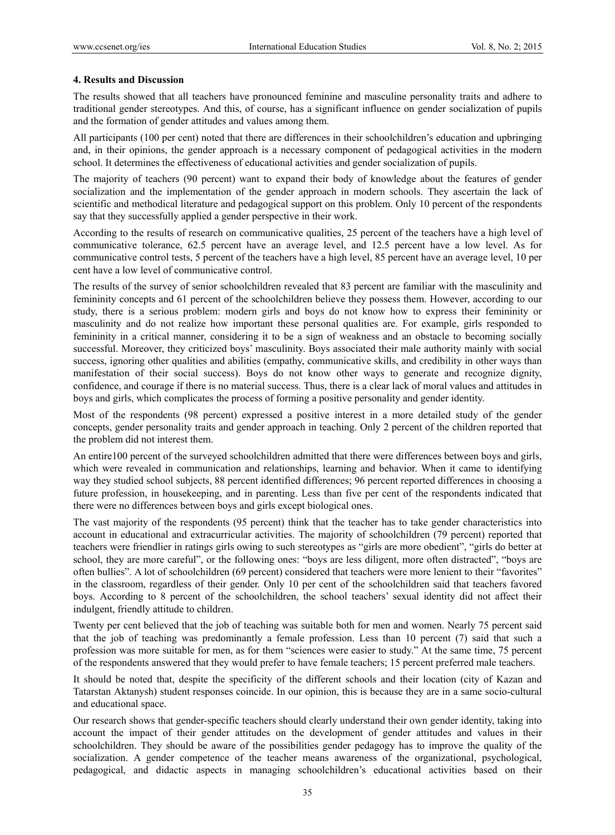#### **4. Results and Discussion**

The results showed that all teachers have pronounced feminine and masculine personality traits and adhere to traditional gender stereotypes. And this, of course, has a significant influence on gender socialization of pupils and the formation of gender attitudes and values among them.

All participants (100 per cent) noted that there are differences in their schoolchildren's education and upbringing and, in their opinions, the gender approach is a necessary component of pedagogical activities in the modern school. It determines the effectiveness of educational activities and gender socialization of pupils.

The majority of teachers (90 percent) want to expand their body of knowledge about the features of gender socialization and the implementation of the gender approach in modern schools. They ascertain the lack of scientific and methodical literature and pedagogical support on this problem. Only 10 percent of the respondents say that they successfully applied a gender perspective in their work.

According to the results of research on communicative qualities, 25 percent of the teachers have a high level of communicative tolerance, 62.5 percent have an average level, and 12.5 percent have a low level. As for communicative control tests, 5 percent of the teachers have a high level, 85 percent have an average level, 10 per cent have a low level of communicative control.

The results of the survey of senior schoolchildren revealed that 83 percent are familiar with the masculinity and femininity concepts and 61 percent of the schoolchildren believe they possess them. However, according to our study, there is a serious problem: modern girls and boys do not know how to express their femininity or masculinity and do not realize how important these personal qualities are. For example, girls responded to femininity in a critical manner, considering it to be a sign of weakness and an obstacle to becoming socially successful. Moreover, they criticized boys' masculinity. Boys associated their male authority mainly with social success, ignoring other qualities and abilities (empathy, communicative skills, and credibility in other ways than manifestation of their social success). Boys do not know other ways to generate and recognize dignity, confidence, and courage if there is no material success. Thus, there is a clear lack of moral values and attitudes in boys and girls, which complicates the process of forming a positive personality and gender identity.

Most of the respondents (98 percent) expressed a positive interest in a more detailed study of the gender concepts, gender personality traits and gender approach in teaching. Only 2 percent of the children reported that the problem did not interest them.

An entire100 percent of the surveyed schoolchildren admitted that there were differences between boys and girls, which were revealed in communication and relationships, learning and behavior. When it came to identifying way they studied school subjects, 88 percent identified differences; 96 percent reported differences in choosing a future profession, in housekeeping, and in parenting. Less than five per cent of the respondents indicated that there were no differences between boys and girls except biological ones.

The vast majority of the respondents (95 percent) think that the teacher has to take gender characteristics into account in educational and extracurricular activities. The majority of schoolchildren (79 percent) reported that teachers were friendlier in ratings girls owing to such stereotypes as "girls are more obedient", "girls do better at school, they are more careful", or the following ones: "boys are less diligent, more often distracted", "boys are often bullies". A lot of schoolchildren (69 percent) considered that teachers were more lenient to their "favorites" in the classroom, regardless of their gender. Only 10 per cent of the schoolchildren said that teachers favored boys. According to 8 percent of the schoolchildren, the school teachers' sexual identity did not affect their indulgent, friendly attitude to children.

Twenty per cent believed that the job of teaching was suitable both for men and women. Nearly 75 percent said that the job of teaching was predominantly a female profession. Less than 10 percent (7) said that such a profession was more suitable for men, as for them "sciences were easier to study." At the same time, 75 percent of the respondents answered that they would prefer to have female teachers; 15 percent preferred male teachers.

It should be noted that, despite the specificity of the different schools and their location (city of Kazan and Tatarstan Aktanysh) student responses coincide. In our opinion, this is because they are in a same socio-cultural and educational space.

Our research shows that gender-specific teachers should clearly understand their own gender identity, taking into account the impact of their gender attitudes on the development of gender attitudes and values in their schoolchildren. They should be aware of the possibilities gender pedagogy has to improve the quality of the socialization. A gender competence of the teacher means awareness of the organizational, psychological, pedagogical, and didactic aspects in managing schoolchildren's educational activities based on their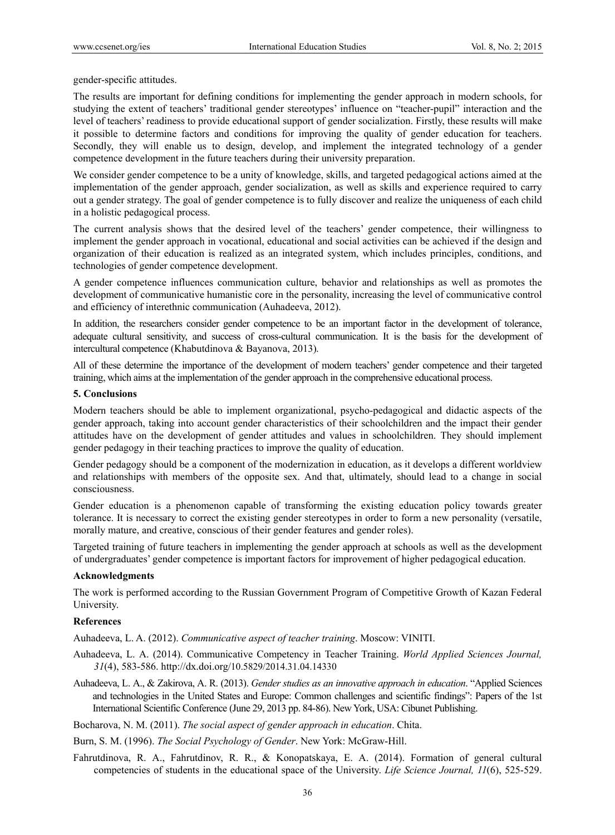gender-specific attitudes.

The results are important for defining conditions for implementing the gender approach in modern schools, for studying the extent of teachers' traditional gender stereotypes' influence on "teacher-pupil" interaction and the level of teachers' readiness to provide educational support of gender socialization. Firstly, these results will make it possible to determine factors and conditions for improving the quality of gender education for teachers. Secondly, they will enable us to design, develop, and implement the integrated technology of a gender competence development in the future teachers during their university preparation.

We consider gender competence to be a unity of knowledge, skills, and targeted pedagogical actions aimed at the implementation of the gender approach, gender socialization, as well as skills and experience required to carry out a gender strategy. The goal of gender competence is to fully discover and realize the uniqueness of each child in a holistic pedagogical process.

The current analysis shows that the desired level of the teachers' gender competence, their willingness to implement the gender approach in vocational, educational and social activities can be achieved if the design and organization of their education is realized as an integrated system, which includes principles, conditions, and technologies of gender competence development.

A gender competence influences communication culture, behavior and relationships as well as promotes the development of communicative humanistic core in the personality, increasing the level of communicative control and efficiency of interethnic communication (Auhadeeva, 2012).

In addition, the researchers consider gender competence to be an important factor in the development of tolerance, adequate cultural sensitivity, and success of cross-cultural communication. It is the basis for the development of intercultural competence (Khabutdinova & Bayanova, 2013).

All of these determine the importance of the development of modern teachers' gender competence and their targeted training, which aims at the implementation of the gender approach in the comprehensive educational process.

#### **5. Conclusions**

Modern teachers should be able to implement organizational, psycho-pedagogical and didactic aspects of the gender approach, taking into account gender characteristics of their schoolchildren and the impact their gender attitudes have on the development of gender attitudes and values in schoolchildren. They should implement gender pedagogy in their teaching practices to improve the quality of education.

Gender pedagogy should be a component of the modernization in education, as it develops a different worldview and relationships with members of the opposite sex. And that, ultimately, should lead to a change in social consciousness.

Gender education is a phenomenon capable of transforming the existing education policy towards greater tolerance. It is necessary to correct the existing gender stereotypes in order to form a new personality (versatile, morally mature, and creative, conscious of their gender features and gender roles).

Targeted training of future teachers in implementing the gender approach at schools as well as the development of undergraduates' gender competence is important factors for improvement of higher pedagogical education.

#### **Acknowledgments**

The work is performed according to the Russian Government Program of Competitive Growth of Kazan Federal University.

#### **References**

Auhadeeva, L. A. (2012). *Communicative aspect of teacher training*. Мoscow: VINITI.

- Auhadeeva, L. A. (2014). Communicative Competency in Teacher Training. *World Applied Sciences Journal, 31*(4), 583-586. http://dx.doi.org/10.5829/2014.31.04.14330
- Auhadeeva, L. A., & Zakirova, A. R. (2013). *Gender studies as an innovative approach in education*. "Applied Sciences and technologies in the United States and Europe: Common challenges and scientific findings": Papers of the 1st International Scientific Conference (June 29, 2013 pp. 84-86). New York, USA: Cibunet Publishing.

Bocharova, N. M. (2011). *The social aspect of gender approach in education*. Chita.

Burn, S. M. (1996). *The Social Psychology of Gender*. New York: McGraw-Hill.

Fahrutdinova, R. A., Fahrutdinov, R. R., & Konopatskaya, E. A. (2014). Formation of general cultural competencies of students in the educational space of the University. *Life Science Journal, 11*(6), 525-529.